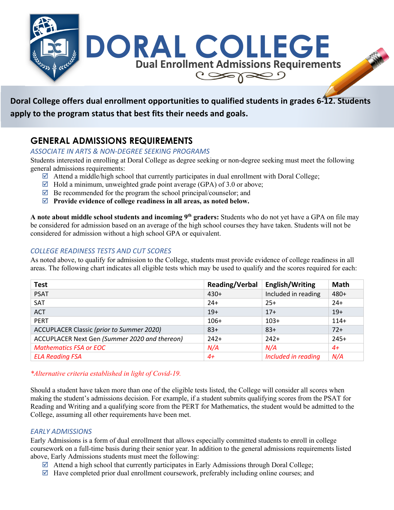

# **Doral College offers dual enrollment opportunities to qualified students in grades 6-12. Students apply to the program status that best fits their needs and goals.**

## **GENERAL ADMISSIONS REQUIREMENTS**

### *ASSOCIATE IN ARTS & NON-DEGREE SEEKING PROGRAMS*

Students interested in enrolling at Doral College as degree seeking or non-degree seeking must meet the following general admissions requirements:

- $\boxtimes$  Attend a middle/high school that currently participates in dual enrollment with Doral College;
- $\boxtimes$  Hold a minimum, unweighted grade point average (GPA) of 3.0 or above;
- $\overline{\mathcal{A}}$  Be recommended for the program the school principal/counselor; and
- þ **Provide evidence of college readiness in all areas, as noted below.**

**A note about middle school students and incoming 9th graders:** Students who do not yet have a GPA on file may be considered for admission based on an average of the high school courses they have taken. Students will not be considered for admission without a high school GPA or equivalent.

### *COLLEGE READINESS TESTS AND CUT SCORES*

As noted above, to qualify for admission to the College, students must provide evidence of college readiness in all areas. The following chart indicates all eligible tests which may be used to qualify and the scores required for each:

| <b>Test</b>                                      | <b>Reading/Verbal</b> | <b>English/Writing</b> | <b>Math</b> |
|--------------------------------------------------|-----------------------|------------------------|-------------|
| <b>PSAT</b>                                      | $430+$                | Included in reading    | 480+        |
| SAT                                              | $24+$                 | $25+$                  | $24+$       |
| <b>ACT</b>                                       | $19+$                 | $17+$                  | $19+$       |
| <b>PERT</b>                                      | $106+$                | $103+$                 | $114+$      |
| <b>ACCUPLACER Classic (prior to Summer 2020)</b> | $83+$                 | $83+$                  | $72+$       |
| ACCUPLACER Next Gen (Summer 2020 and thereon)    | $242+$                | $242+$                 | $245+$      |
| <b>Mathematics FSA or EOC</b>                    | N/A                   | N/A                    | $4+$        |
| <b>ELA Reading FSA</b>                           | $4+$                  | Included in reading    | N/A         |

#### *\*Alternative criteria established in light of Covid-19.*

Should a student have taken more than one of the eligible tests listed, the College will consider all scores when making the student's admissions decision. For example, if a student submits qualifying scores from the PSAT for Reading and Writing and a qualifying score from the PERT for Mathematics, the student would be admitted to the College, assuming all other requirements have been met.

#### *EARLY ADMISSIONS*

Early Admissions is a form of dual enrollment that allows especially committed students to enroll in college coursework on a full-time basis during their senior year. In addition to the general admissions requirements listed above, Early Admissions students must meet the following:

- $\boxtimes$  Attend a high school that currently participates in Early Admissions through Doral College;
- $\boxtimes$  Have completed prior dual enrollment coursework, preferably including online courses; and